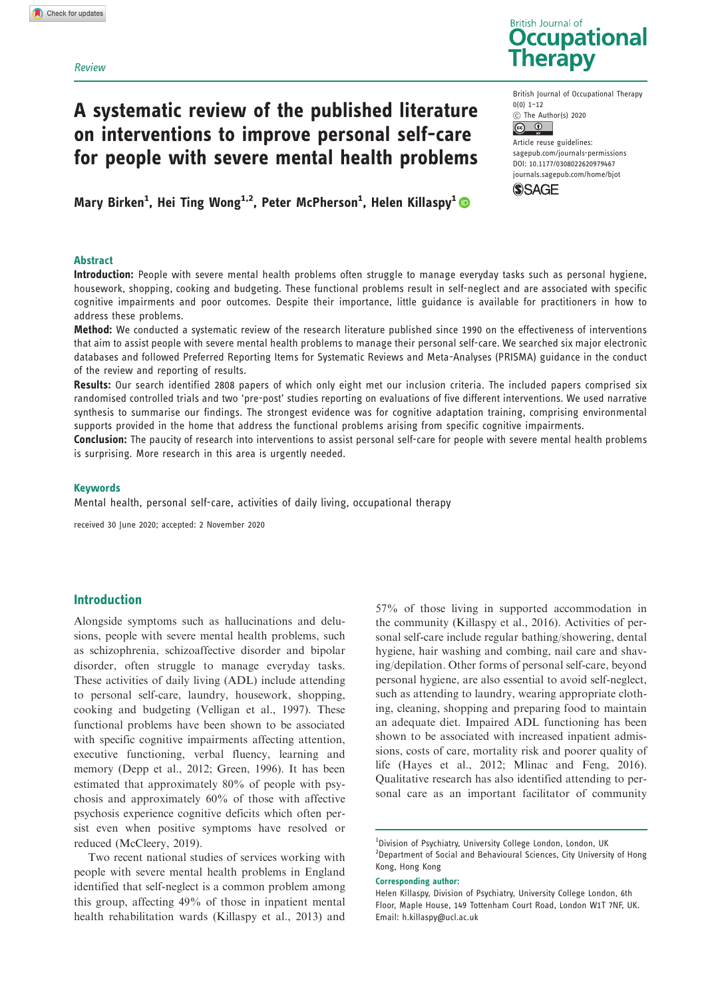## Review

# A systematic review of the published literature on interventions to improve personal self-care for people with severe mental health problems

Mary Birken<sup>1</sup>, Hei Ting Wong<sup>1,2</sup>, Peter McPherson<sup>1</sup>, Helen Killaspy<sup>1</sup>

## Abstract



British Journal of Occupational Therapy 0(0) 1–12 C The Author(s) 2020

 $\circ$   $\circ$ Article reuse guidelines: [sagepub.com/journals-permissions](http://uk.sagepub.com/en-gb/journals-permissions) [DOI: 10.1177/0308022620979467](http://dx.doi.org/10.1177/0308022620979467) <journals.sagepub.com/home/bjot>



Introduction: People with severe mental health problems often struggle to manage everyday tasks such as personal hygiene, housework, shopping, cooking and budgeting. These functional problems result in self-neglect and are associated with specific cognitive impairments and poor outcomes. Despite their importance, little guidance is available for practitioners in how to address these problems.

Method: We conducted a systematic review of the research literature published since 1990 on the effectiveness of interventions that aim to assist people with severe mental health problems to manage their personal self-care. We searched six major electronic databases and followed Preferred Reporting Items for Systematic Reviews and Meta-Analyses (PRISMA) guidance in the conduct of the review and reporting of results.

Results: Our search identified 2808 papers of which only eight met our inclusion criteria. The included papers comprised six randomised controlled trials and two 'pre-post' studies reporting on evaluations of five different interventions. We used narrative synthesis to summarise our findings. The strongest evidence was for cognitive adaptation training, comprising environmental supports provided in the home that address the functional problems arising from specific cognitive impairments.

Conclusion: The paucity of research into interventions to assist personal self-care for people with severe mental health problems is surprising. More research in this area is urgently needed.

#### Keywords

Mental health, personal self-care, activities of daily living, occupational therapy

received 30 June 2020; accepted: 2 November 2020

# Introduction

Alongside symptoms such as hallucinations and delusions, people with severe mental health problems, such as schizophrenia, schizoaffective disorder and bipolar disorder, often struggle to manage everyday tasks. These activities of daily living (ADL) include attending to personal self-care, laundry, housework, shopping, cooking and budgeting (Velligan et al., 1997). These functional problems have been shown to be associated with specific cognitive impairments affecting attention, executive functioning, verbal fluency, learning and memory (Depp et al., 2012; Green, 1996). It has been estimated that approximately 80% of people with psychosis and approximately 60% of those with affective psychosis experience cognitive deficits which often persist even when positive symptoms have resolved or reduced (McCleery, 2019).

Two recent national studies of services working with people with severe mental health problems in England identified that self-neglect is a common problem among this group, affecting 49% of those in inpatient mental health rehabilitation wards (Killaspy et al., 2013) and

57% of those living in supported accommodation in the community (Killaspy et al., 2016). Activities of personal self-care include regular bathing/showering, dental hygiene, hair washing and combing, nail care and shaving/depilation. Other forms of personal self-care, beyond personal hygiene, are also essential to avoid self-neglect, such as attending to laundry, wearing appropriate clothing, cleaning, shopping and preparing food to maintain an adequate diet. Impaired ADL functioning has been shown to be associated with increased inpatient admissions, costs of care, mortality risk and poorer quality of life (Hayes et al., 2012; Mlinac and Feng, 2016). Qualitative research has also identified attending to personal care as an important facilitator of community

Corresponding author:

<sup>&</sup>lt;sup>1</sup>Division of Psychiatry, University College London, London, UK <sup>2</sup> Department of Social and Behavioural Sciences, City University of Hong Kong, Hong Kong

Helen Killaspy, Division of Psychiatry, University College London, 6th Floor, Maple House, 149 Tottenham Court Road, London W1T 7NF, UK. Email: [h.killaspy@ucl.ac.uk](mailto:h.killaspy@ucl.ac.uk)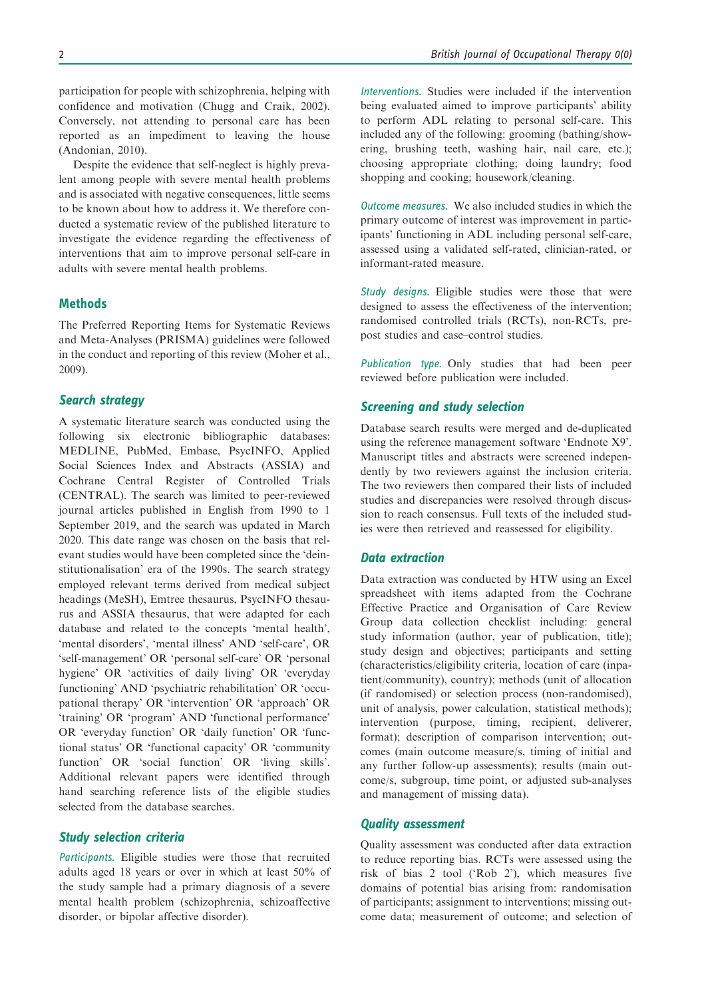participation for people with schizophrenia, helping with confidence and motivation (Chugg and Craik, 2002). Conversely, not attending to personal care has been reported as an impediment to leaving the house (Andonian, 2010).

Despite the evidence that self-neglect is highly prevalent among people with severe mental health problems and is associated with negative consequences, little seems to be known about how to address it. We therefore conducted a systematic review of the published literature to investigate the evidence regarding the effectiveness of interventions that aim to improve personal self-care in adults with severe mental health problems.

# **Methods**

The Preferred Reporting Items for Systematic Reviews and Meta-Analyses (PRISMA) guidelines were followed in the conduct and reporting of this review (Moher et al., 2009).

# Search strategy

A systematic literature search was conducted using the following six electronic bibliographic databases: MEDLINE, PubMed, Embase, PsycINFO, Applied Social Sciences Index and Abstracts (ASSIA) and Cochrane Central Register of Controlled Trials (CENTRAL). The search was limited to peer-reviewed journal articles published in English from 1990 to 1 September 2019, and the search was updated in March 2020. This date range was chosen on the basis that relevant studies would have been completed since the 'deinstitutionalisation' era of the 1990s. The search strategy employed relevant terms derived from medical subject headings (MeSH), Emtree thesaurus, PsycINFO thesaurus and ASSIA thesaurus, that were adapted for each database and related to the concepts 'mental health', 'mental disorders', 'mental illness' AND 'self-care', OR 'self-management' OR 'personal self-care' OR 'personal hygiene' OR 'activities of daily living' OR 'everyday functioning' AND 'psychiatric rehabilitation' OR 'occupational therapy' OR 'intervention' OR 'approach' OR 'training' OR 'program' AND 'functional performance' OR 'everyday function' OR 'daily function' OR 'functional status' OR 'functional capacity' OR 'community function' OR 'social function' OR 'living skills'. Additional relevant papers were identified through hand searching reference lists of the eligible studies selected from the database searches.

# Study selection criteria

Participants. Eligible studies were those that recruited adults aged 18 years or over in which at least 50% of the study sample had a primary diagnosis of a severe mental health problem (schizophrenia, schizoaffective disorder, or bipolar affective disorder).

Interventions. Studies were included if the intervention being evaluated aimed to improve participants' ability to perform ADL relating to personal self-care. This included any of the following: grooming (bathing/showering, brushing teeth, washing hair, nail care, etc.); choosing appropriate clothing; doing laundry; food shopping and cooking; housework/cleaning.

Outcome measures. We also included studies in which the primary outcome of interest was improvement in participants' functioning in ADL including personal self-care, assessed using a validated self-rated, clinician-rated, or informant-rated measure.

Study designs. Eligible studies were those that were designed to assess the effectiveness of the intervention; randomised controlled trials (RCTs), non-RCTs, prepost studies and case–control studies.

Publication type. Only studies that had been peer reviewed before publication were included.

## Screening and study selection

Database search results were merged and de-duplicated using the reference management software 'Endnote X9'. Manuscript titles and abstracts were screened independently by two reviewers against the inclusion criteria. The two reviewers then compared their lists of included studies and discrepancies were resolved through discussion to reach consensus. Full texts of the included studies were then retrieved and reassessed for eligibility.

## Data extraction

Data extraction was conducted by HTW using an Excel spreadsheet with items adapted from the Cochrane Effective Practice and Organisation of Care Review Group data collection checklist including: general study information (author, year of publication, title); study design and objectives; participants and setting (characteristics/eligibility criteria, location of care (inpatient/community), country); methods (unit of allocation (if randomised) or selection process (non-randomised), unit of analysis, power calculation, statistical methods); intervention (purpose, timing, recipient, deliverer, format); description of comparison intervention; outcomes (main outcome measure/s, timing of initial and any further follow-up assessments); results (main outcome/s, subgroup, time point, or adjusted sub-analyses and management of missing data).

# Quality assessment

Quality assessment was conducted after data extraction to reduce reporting bias. RCTs were assessed using the risk of bias 2 tool ('Rob 2'), which measures five domains of potential bias arising from: randomisation of participants; assignment to interventions; missing outcome data; measurement of outcome; and selection of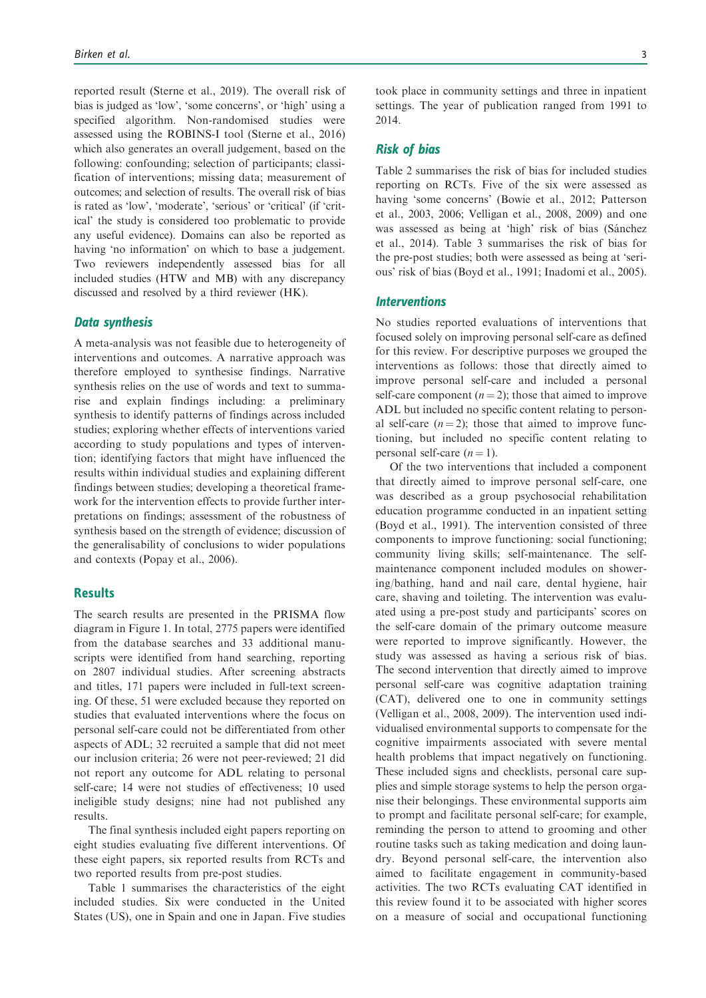reported result (Sterne et al., 2019). The overall risk of bias is judged as 'low', 'some concerns', or 'high' using a specified algorithm. Non-randomised studies were assessed using the ROBINS-I tool (Sterne et al., 2016) which also generates an overall judgement, based on the following: confounding; selection of participants; classification of interventions; missing data; measurement of outcomes; and selection of results. The overall risk of bias is rated as 'low', 'moderate', 'serious' or 'critical' (if 'critical' the study is considered too problematic to provide any useful evidence). Domains can also be reported as having 'no information' on which to base a judgement. Two reviewers independently assessed bias for all included studies (HTW and MB) with any discrepancy discussed and resolved by a third reviewer (HK).

## Data synthesis

A meta-analysis was not feasible due to heterogeneity of interventions and outcomes. A narrative approach was therefore employed to synthesise findings. Narrative synthesis relies on the use of words and text to summarise and explain findings including: a preliminary synthesis to identify patterns of findings across included studies; exploring whether effects of interventions varied according to study populations and types of intervention; identifying factors that might have influenced the results within individual studies and explaining different findings between studies; developing a theoretical framework for the intervention effects to provide further interpretations on findings; assessment of the robustness of synthesis based on the strength of evidence; discussion of the generalisability of conclusions to wider populations and contexts (Popay et al., 2006).

# **Results**

The search results are presented in the PRISMA flow diagram in Figure 1. In total, 2775 papers were identified from the database searches and 33 additional manuscripts were identified from hand searching, reporting on 2807 individual studies. After screening abstracts and titles, 171 papers were included in full-text screening. Of these, 51 were excluded because they reported on studies that evaluated interventions where the focus on personal self-care could not be differentiated from other aspects of ADL; 32 recruited a sample that did not meet our inclusion criteria; 26 were not peer-reviewed; 21 did not report any outcome for ADL relating to personal self-care; 14 were not studies of effectiveness; 10 used ineligible study designs; nine had not published any results.

The final synthesis included eight papers reporting on eight studies evaluating five different interventions. Of these eight papers, six reported results from RCTs and two reported results from pre-post studies.

Table 1 summarises the characteristics of the eight included studies. Six were conducted in the United States (US), one in Spain and one in Japan. Five studies took place in community settings and three in inpatient settings. The year of publication ranged from 1991 to 2014.

# Risk of bias

Table 2 summarises the risk of bias for included studies reporting on RCTs. Five of the six were assessed as having 'some concerns' (Bowie et al., 2012; Patterson et al., 2003, 2006; Velligan et al., 2008, 2009) and one was assessed as being at 'high' risk of bias (Sánchez et al., 2014). Table 3 summarises the risk of bias for the pre-post studies; both were assessed as being at 'serious' risk of bias (Boyd et al., 1991; Inadomi et al., 2005).

## **Interventions**

No studies reported evaluations of interventions that focused solely on improving personal self-care as defined for this review. For descriptive purposes we grouped the interventions as follows: those that directly aimed to improve personal self-care and included a personal self-care component  $(n = 2)$ ; those that aimed to improve ADL but included no specific content relating to personal self-care  $(n = 2)$ ; those that aimed to improve functioning, but included no specific content relating to personal self-care  $(n = 1)$ .

Of the two interventions that included a component that directly aimed to improve personal self-care, one was described as a group psychosocial rehabilitation education programme conducted in an inpatient setting (Boyd et al., 1991). The intervention consisted of three components to improve functioning: social functioning; community living skills; self-maintenance. The selfmaintenance component included modules on showering/bathing, hand and nail care, dental hygiene, hair care, shaving and toileting. The intervention was evaluated using a pre-post study and participants' scores on the self-care domain of the primary outcome measure were reported to improve significantly. However, the study was assessed as having a serious risk of bias. The second intervention that directly aimed to improve personal self-care was cognitive adaptation training (CAT), delivered one to one in community settings (Velligan et al., 2008, 2009). The intervention used individualised environmental supports to compensate for the cognitive impairments associated with severe mental health problems that impact negatively on functioning. These included signs and checklists, personal care supplies and simple storage systems to help the person organise their belongings. These environmental supports aim to prompt and facilitate personal self-care; for example, reminding the person to attend to grooming and other routine tasks such as taking medication and doing laundry. Beyond personal self-care, the intervention also aimed to facilitate engagement in community-based activities. The two RCTs evaluating CAT identified in this review found it to be associated with higher scores on a measure of social and occupational functioning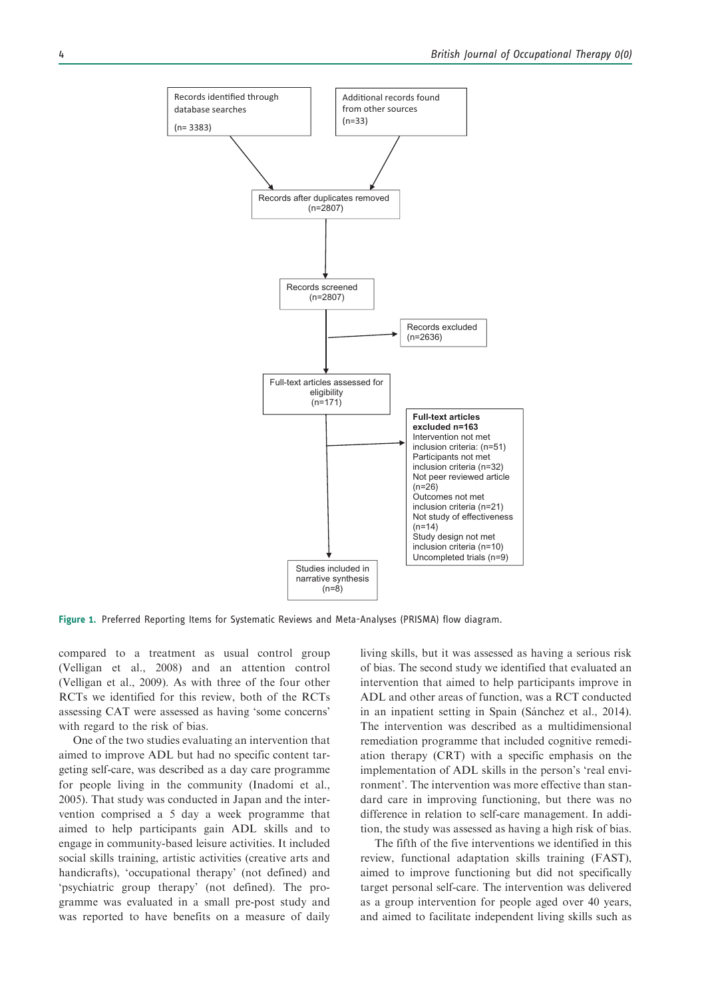

Figure 1. Preferred Reporting Items for Systematic Reviews and Meta-Analyses (PRISMA) flow diagram.

compared to a treatment as usual control group (Velligan et al., 2008) and an attention control (Velligan et al., 2009). As with three of the four other RCTs we identified for this review, both of the RCTs assessing CAT were assessed as having 'some concerns' with regard to the risk of bias.

One of the two studies evaluating an intervention that aimed to improve ADL but had no specific content targeting self-care, was described as a day care programme for people living in the community (Inadomi et al., 2005). That study was conducted in Japan and the intervention comprised a 5 day a week programme that aimed to help participants gain ADL skills and to engage in community-based leisure activities. It included social skills training, artistic activities (creative arts and handicrafts), 'occupational therapy' (not defined) and 'psychiatric group therapy' (not defined). The programme was evaluated in a small pre-post study and was reported to have benefits on a measure of daily living skills, but it was assessed as having a serious risk of bias. The second study we identified that evaluated an intervention that aimed to help participants improve in ADL and other areas of function, was a RCT conducted in an inpatient setting in Spain (Sánchez et al., 2014). The intervention was described as a multidimensional remediation programme that included cognitive remediation therapy (CRT) with a specific emphasis on the implementation of ADL skills in the person's 'real environment'. The intervention was more effective than standard care in improving functioning, but there was no difference in relation to self-care management. In addition, the study was assessed as having a high risk of bias.

The fifth of the five interventions we identified in this review, functional adaptation skills training (FAST), aimed to improve functioning but did not specifically target personal self-care. The intervention was delivered as a group intervention for people aged over 40 years, and aimed to facilitate independent living skills such as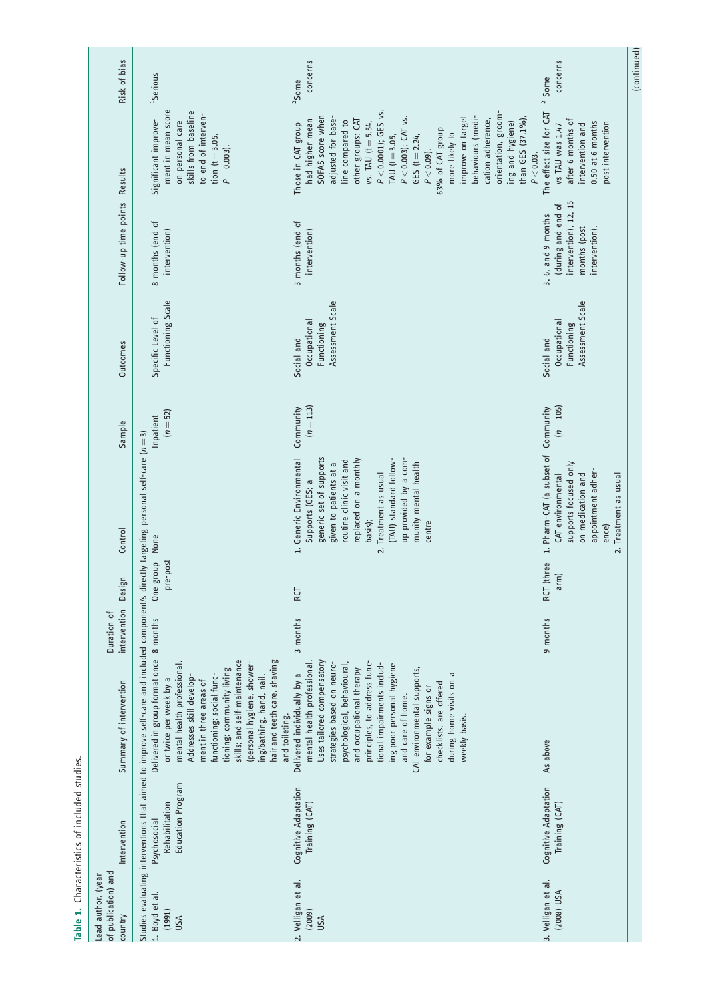| Risk of bias                                         | <sup>1</sup> Serious                                                                                                                                                                                                                                                                                                                                                                                                                                                                                     | concerns<br>$2$ Some                                                                                                                                                                                                                                                                                                                                                                                                                           | (continued)<br>concerns<br><sup>2</sup> Some                                                                                                                   |
|------------------------------------------------------|----------------------------------------------------------------------------------------------------------------------------------------------------------------------------------------------------------------------------------------------------------------------------------------------------------------------------------------------------------------------------------------------------------------------------------------------------------------------------------------------------------|------------------------------------------------------------------------------------------------------------------------------------------------------------------------------------------------------------------------------------------------------------------------------------------------------------------------------------------------------------------------------------------------------------------------------------------------|----------------------------------------------------------------------------------------------------------------------------------------------------------------|
| Results                                              | ment in mean score<br>skills from baseline<br>to end of interven-<br>Significant improve-<br>on personal care<br>tion $(t = 3.05,$<br>$P = 0.003$ ).                                                                                                                                                                                                                                                                                                                                                     | $P < 0.0001$ ); GES vs.<br>orientation, groom-<br>SOFAS score when<br>adjusted for base-<br>behaviours (medi-<br>P < 0.003); CAT vs.<br>improve on target<br>other groups: CAT<br>than GES (37.1%),<br>cation adherence,<br>had higher mean<br>line compared to<br>vs. TAU $(t = 5.54,$<br>ing and hygiene)<br>Those in CAT group<br>63% of CAT group<br>more likely to<br>GES $(t = 2.24,$<br>TAU (t = 3.05,<br>$P < 0.09$ ).<br>$P < 0.03$ . | The effect size for CAT<br>after 6 months of<br>0.50 at 6 months<br>post intervention<br>intervention and<br>vs TAU was 1.47                                   |
| Follow-up time points                                | 8 months (end of<br>intervention)                                                                                                                                                                                                                                                                                                                                                                                                                                                                        | 3 months (end of<br>intervention)                                                                                                                                                                                                                                                                                                                                                                                                              | intervention), 12, 15<br>during and end of<br>3, 6, and 9 months<br>months (post<br>intervention).                                                             |
| Outcomes                                             | Functioning Scale<br>Specific Level of                                                                                                                                                                                                                                                                                                                                                                                                                                                                   | Assessment Scale<br>Occupational<br>Functioning<br>Social and                                                                                                                                                                                                                                                                                                                                                                                  | Assessment Scale<br>Occupational<br>Functioning<br>Social and                                                                                                  |
| Sample                                               | $(n = 52)$<br>Inpatient                                                                                                                                                                                                                                                                                                                                                                                                                                                                                  | $(n = 113)$<br>Community                                                                                                                                                                                                                                                                                                                                                                                                                       | $(n = 105)$                                                                                                                                                    |
| Control                                              |                                                                                                                                                                                                                                                                                                                                                                                                                                                                                                          | up provided by a com-<br>1. Generic Environmental<br>generic set of supports<br>(TAU) standard follow-<br>replaced on a monthly<br>routine clinic visit and<br>given to patients at a<br>munity mental health<br>Treatment as usual<br>Supports (GES; a<br>basis);<br>centre<br>$\frac{1}{2}$                                                                                                                                                  | 1. Pharm-CAT (a subset of Community<br>supports focused only<br>appointment adher-<br>on medication and<br>CAT environmental<br>2. Treatment as usual<br>ence) |
| Design                                               | One group None<br>pre-post                                                                                                                                                                                                                                                                                                                                                                                                                                                                               | RCT                                                                                                                                                                                                                                                                                                                                                                                                                                            | RCT (three<br>arm)                                                                                                                                             |
| intervention<br>Duration of                          |                                                                                                                                                                                                                                                                                                                                                                                                                                                                                                          | 3 months                                                                                                                                                                                                                                                                                                                                                                                                                                       | 9 months                                                                                                                                                       |
| Summary of intervention                              | Studies evaluating interventions that aimed to improve self-care and included component/s directly targeting personal self-care ( $n=3$ )<br>Delivered in group format once 8 months<br>skills; and self-maintenance<br>hair and teeth care, shaving<br>personal hygiene, shower-<br>mental health professional.<br>tioning; community living<br>functioning: social func-<br>Addresses skill develop-<br>ing/bathing, hand, nail,<br>or twice per week by a<br>ment in three areas of<br>and toileting. | Uses tailored compensatory<br>principles, to address func-<br>mental health professional.<br>strategies based on neuro-<br>tional impairments includ-<br>psychological, behavioural,<br>ing poor personal hygiene<br>and occupational therapy<br>CAT environmental supports,<br>during home visits on a<br>Delivered individually by a<br>checklists, are offered<br>for example signs or<br>and care of home.<br>weekly basis.                | As above                                                                                                                                                       |
| Intervention                                         | Education Program<br>Rehabilitation<br>Psychosocial                                                                                                                                                                                                                                                                                                                                                                                                                                                      | Cognitive Adaptation<br>Training (CAT)                                                                                                                                                                                                                                                                                                                                                                                                         | <b>Cognitive Adaptation</b><br>Training (CAT)                                                                                                                  |
| of publication) and<br>Lead author, (year<br>country | 1. Boyd et al.<br>(1991)<br>USA                                                                                                                                                                                                                                                                                                                                                                                                                                                                          | 2. Velligan et al.<br>(2009)<br>USA                                                                                                                                                                                                                                                                                                                                                                                                            | 3. Velligan et al.<br>(2008) USA                                                                                                                               |

Table 1. Characteristics of included studies. Table 1. Characteristics of included studies.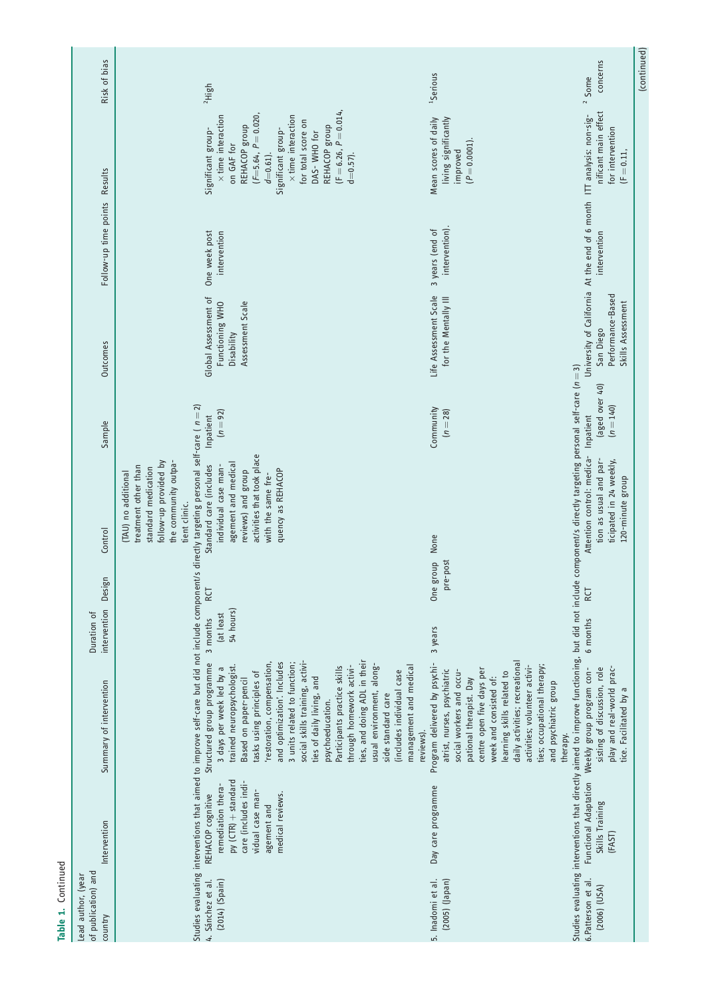| Risk of bias                                         | $2$ High                                                                                                                                                                                                                                                                                                                                                                                                                                                                                                                                                                                                                                                                               | <sup>1</sup> Serious                                                                                                                                                                                                                                                                                                                                        | concerns<br>$2$ Some                                                                                                                                                                                                                                                                                | (continued) |
|------------------------------------------------------|----------------------------------------------------------------------------------------------------------------------------------------------------------------------------------------------------------------------------------------------------------------------------------------------------------------------------------------------------------------------------------------------------------------------------------------------------------------------------------------------------------------------------------------------------------------------------------------------------------------------------------------------------------------------------------------|-------------------------------------------------------------------------------------------------------------------------------------------------------------------------------------------------------------------------------------------------------------------------------------------------------------------------------------------------------------|-----------------------------------------------------------------------------------------------------------------------------------------------------------------------------------------------------------------------------------------------------------------------------------------------------|-------------|
| <b>Results</b>                                       | $(F = 6.26, P = 0.014,$<br>$(F=5.64, P=0.020,$<br>$\times$ time interaction<br>$\times$ time interaction<br>for total score on<br>REHACOP group<br>REHACOP group<br>Significant group-<br>Significant group-<br>DAS-WHO for<br>on GAF for<br>$d=0.57$ ).<br>$d=0.61$ ).                                                                                                                                                                                                                                                                                                                                                                                                                | living significantly<br>Mean scores of daily<br>$(P = 0.0001).$<br>improved                                                                                                                                                                                                                                                                                 | nificant main effect<br>for intervention<br>$(F = 0.11,$                                                                                                                                                                                                                                            |             |
| Follow-up time points                                | One week post<br>intervention                                                                                                                                                                                                                                                                                                                                                                                                                                                                                                                                                                                                                                                          | intervention).<br>3 years (end of                                                                                                                                                                                                                                                                                                                           | intervention                                                                                                                                                                                                                                                                                        |             |
| Outcomes                                             | Global Assessment of<br>Assessment Scale<br>Functioning WHO<br>Disability                                                                                                                                                                                                                                                                                                                                                                                                                                                                                                                                                                                                              | Life Assessment Scale<br>for the Mentally III                                                                                                                                                                                                                                                                                                               | University of California At the end of 6 month ITT analysis: non-sig-<br>Performance-Based<br>Skills Assessment<br>San Diego                                                                                                                                                                        |             |
| Sample                                               | $(n = 92)$<br>Inpatient                                                                                                                                                                                                                                                                                                                                                                                                                                                                                                                                                                                                                                                                | Community<br>$(n = 28)$                                                                                                                                                                                                                                                                                                                                     | (aged over 40)<br>$(n = 140)$                                                                                                                                                                                                                                                                       |             |
| Control                                              | activities that took place<br>follow-up provided by<br>the community outpa-<br>agement and medical<br>Standard care (includes<br>treatment other than<br>individual case man-<br>standard medication<br>quency as REHACOP<br>reviews) and group<br>(TAU) no additional<br>with the same fre-<br>tient clinic.                                                                                                                                                                                                                                                                                                                                                                          | None                                                                                                                                                                                                                                                                                                                                                        | Attention control: medica- Inpatient<br>tion as usual and par-<br>ticipated in 24 weekly,<br>120-minute group                                                                                                                                                                                       |             |
| Design                                               | RCT                                                                                                                                                                                                                                                                                                                                                                                                                                                                                                                                                                                                                                                                                    | pre-post<br>One group                                                                                                                                                                                                                                                                                                                                       | RCT                                                                                                                                                                                                                                                                                                 |             |
| intervention<br>Duration of                          | 54 hours)<br>(at least<br>3 months                                                                                                                                                                                                                                                                                                                                                                                                                                                                                                                                                                                                                                                     | 3 years                                                                                                                                                                                                                                                                                                                                                     | 6 months                                                                                                                                                                                                                                                                                            |             |
| Summary of intervention                              | Studies evaluating interventions that aimed to improve self-care but did not include component/s directly targeting personal self-care ( $n=2$ )<br>ties, and doing ADL in their<br>social skills training, activi-<br>'restoration, compensation,<br>Structured group programme<br>and optimization'. Includes<br>3 units related to function;<br>usual environment, along-<br>trained neuropsychologist.<br>Participants practice skills<br>through homework activi-<br>management and medical<br>3 days per week led by a<br>(includes individual case<br>tasks using principles of<br>ties of daily living, and<br>Based on paper-pencil<br>side standard care<br>psychoeducation. | daily activities; recreational<br>Program delivered by psychi-<br>ties; occupational therapy;<br>activities; volunteer activi-<br>atrist, nurses, psychiatric<br>centre open five days per<br>social workers and occu-<br>learning skills related to<br>week and consisted of:<br>pational therapist. Day<br>and psychiatric group<br>reviews).<br>therapy. | Studies evaluating interventions that directly aimed to improve functioning, but did not include component/s directly targeting personal self-care (n = 3)<br>play and real-world prac-<br>Functional Adaptation Weekly group program con-<br>sisting of discussion, role<br>tice. Facilitated by a |             |
| Intervention                                         | py (CTR) + standard<br>care (includes indi-<br>remediation thera-<br>vidual case man-<br>medical reviews.<br>REHACOP cognitive<br>agement and                                                                                                                                                                                                                                                                                                                                                                                                                                                                                                                                          | Day care programme                                                                                                                                                                                                                                                                                                                                          | Skills Training<br>(FAST)                                                                                                                                                                                                                                                                           |             |
| of publication) and<br>Lead author, (year<br>country | 4. Sánchez et al.<br>$(2014)$ $(Spain)$                                                                                                                                                                                                                                                                                                                                                                                                                                                                                                                                                                                                                                                | (2005) (Japan)<br>5. Inadomi et al.                                                                                                                                                                                                                                                                                                                         | 6.Patterson et al.<br>$(2006)$ $(USA)$                                                                                                                                                                                                                                                              |             |

Table 1. Continued

Table 1. Continued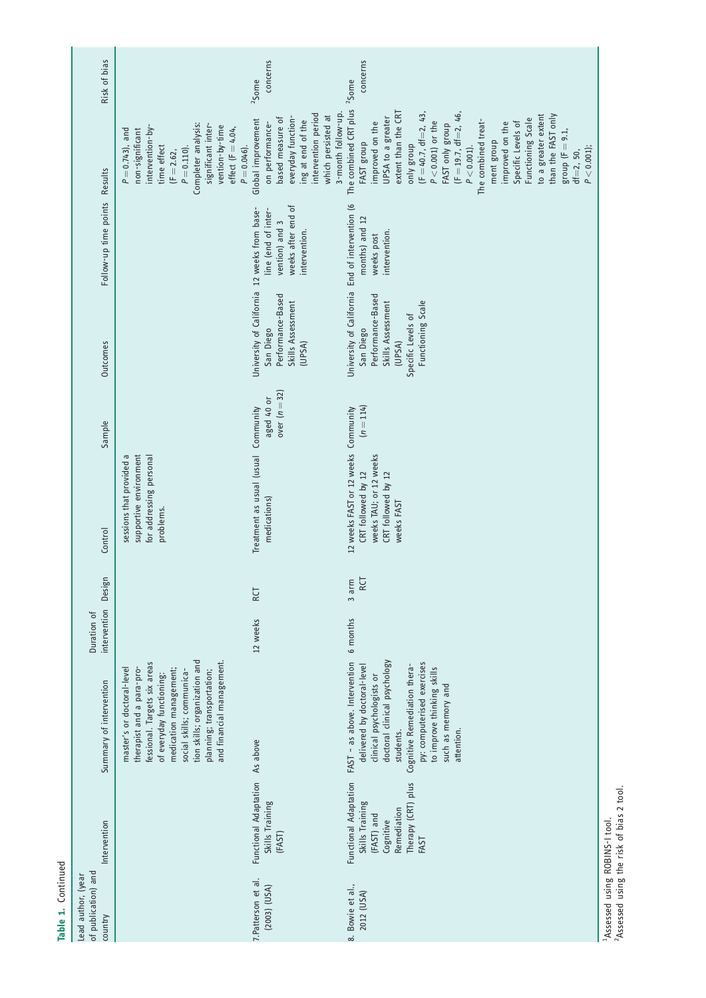| Risk of bias                                         |                                                                                                                                                                                                                                                                       | concerns<br><sup>2</sup> Some                                                                                                                                           | concerns<br>$2$ Some                                                                                                                                                                                                                                                                                                                                                                                                                          |
|------------------------------------------------------|-----------------------------------------------------------------------------------------------------------------------------------------------------------------------------------------------------------------------------------------------------------------------|-------------------------------------------------------------------------------------------------------------------------------------------------------------------------|-----------------------------------------------------------------------------------------------------------------------------------------------------------------------------------------------------------------------------------------------------------------------------------------------------------------------------------------------------------------------------------------------------------------------------------------------|
| Results                                              | Completer analysis:<br>significant inter-<br>vention-by-time<br>intervention-by-<br>effect ( $F = 4.04$ ,<br>$P = 0.743$ ), and<br>non-significant<br>$P = 0.046$ ).<br>time effect<br>$P = 0.110$ ).<br>$(F = 2.62,$                                                 | 3-month follow-up.<br>intervention period<br>which persisted at<br>everyday function-<br>based measure of<br>Global improvement<br>ing at end of the<br>on performance- | The combined CRT plus<br>extent than the CRT<br>$(F = 40.7, df = 2, 43,$<br>$(F = 19.7, df=2, 46,$<br>to a greater extent<br>than the FAST only<br>UPSA to a greater<br>Functioning Scale<br>The combined treat-<br>$P < 0.001$ ) or the<br>improved on the<br>improved on the<br>Specific Levels of<br>FAST only group<br>group ( $F = 9.1$ ,<br>ment group<br>FAST group<br>anly group<br>$P < 0.001$ ).<br>$P < 0.001$ );<br>$df = 2, 50,$ |
| Follow-up time points                                |                                                                                                                                                                                                                                                                       | weeks after end of<br>line (end of inter-<br>vention) and 3<br>intervention.                                                                                            | months) and 12<br>intervention.<br>weeks post                                                                                                                                                                                                                                                                                                                                                                                                 |
| Outcomes                                             |                                                                                                                                                                                                                                                                       | University of California 12 weeks from base-<br>Performance-Based<br>Skills Assessment<br>San Diego<br>(UPSA)                                                           | University of California End of intervention (6<br>Performance-Based<br>Functioning Scale<br>Skills Assessment<br>Specific Levels of<br>San Diego<br>(UPSA)                                                                                                                                                                                                                                                                                   |
| Sample                                               |                                                                                                                                                                                                                                                                       | over $(n=32)$<br>aged 40 or                                                                                                                                             | $(n = 114)$                                                                                                                                                                                                                                                                                                                                                                                                                                   |
| Control                                              | sessions that provided a<br>supportive environment<br>for addressing personal<br>problems.                                                                                                                                                                            | Treatment as usual (usual Community<br>medications)                                                                                                                     | 12 weeks FAST or 12 weeks Community<br>weeks TAU; or 12 weeks<br>CRT followed by 12<br>CRT followed by 12<br>weeks FAST                                                                                                                                                                                                                                                                                                                       |
| Design                                               |                                                                                                                                                                                                                                                                       | RCT                                                                                                                                                                     | RCT<br>3 arm                                                                                                                                                                                                                                                                                                                                                                                                                                  |
| intervention<br>Duration of                          |                                                                                                                                                                                                                                                                       | 12 weeks                                                                                                                                                                | 6 months                                                                                                                                                                                                                                                                                                                                                                                                                                      |
| Summary of intervention                              | tion skills; organization and<br>and financial management.<br>fessional. Targets six areas<br>master's or doctoral-level<br>therapist and a para-pro-<br>medication management;<br>social skills; communica-<br>planning; transportation;<br>of everyday functioning: |                                                                                                                                                                         | FAST - as above. Intervention<br>doctoral clinical psychology<br>py: computerised exercises<br>delivered by doctoral-level<br>Cognitive Remediation thera-<br>to improve thinking skills<br>clinical psychologists or<br>such as memory and<br>attention.<br>students.                                                                                                                                                                        |
| Intervention                                         |                                                                                                                                                                                                                                                                       | Functional Adaptation As above<br>Skills Training<br>(FAST)                                                                                                             | Functional Adaptation<br>Therapy (CRT) plus<br>Skills Training<br>Remediation<br>(FAST) and<br>Cognitive<br>FAST                                                                                                                                                                                                                                                                                                                              |
| of publication) and<br>Lead author, (year<br>country |                                                                                                                                                                                                                                                                       | 7. Patterson et al.<br>(2003) (USA)                                                                                                                                     | 8. Bowie et al.,<br>2012 (USA)                                                                                                                                                                                                                                                                                                                                                                                                                |

Table 1. Continued

Table 1. Continued

<sup>1</sup>Assessed using ROBINS-1 tool.<br><sup>2</sup>Assessed using the risk of bias 2 tool. 2Assessed using the risk of bias 2 tool.1Assessed using ROBINS-I tool.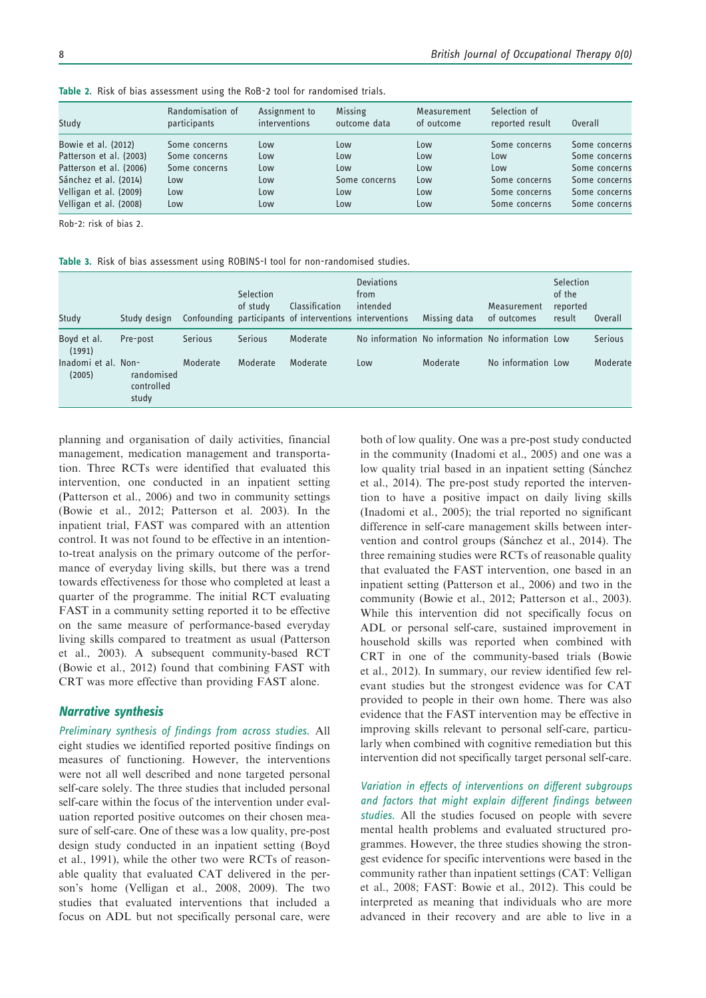| Study                   | Randomisation of<br>participants | Assignment to<br>interventions | <b>Missing</b><br>outcome data | Measurement<br>of outcome | Selection of<br>reported result | Overall       |
|-------------------------|----------------------------------|--------------------------------|--------------------------------|---------------------------|---------------------------------|---------------|
| Bowie et al. (2012)     | Some concerns                    | Low                            | Low                            | Low                       | Some concerns                   | Some concerns |
| Patterson et al. (2003) | Some concerns                    | Low                            | Low                            | Low                       | Low                             | Some concerns |
| Patterson et al. (2006) | Some concerns                    | Low                            | Low                            | Low                       | Low                             | Some concerns |
| Sánchez et al. (2014)   | Low                              | Low                            | Some concerns                  | Low                       | Some concerns                   | Some concerns |
| Velligan et al. (2009)  | Low                              | Low                            | Low                            | Low                       | Some concerns                   | Some concerns |
| Velligan et al. (2008)  | Low                              | Low                            | Low                            | Low                       | Some concerns                   | Some concerns |

Table 2. Risk of bias assessment using the RoB-2 tool for randomised trials.

Rob-2: risk of bias 2.

Table 3. Risk of bias assessment using ROBINS-I tool for non-randomised studies.

| Study                         | Study design                      |                | Selection<br>of study | <b>Classification</b><br>Confounding participants of interventions interventions | <b>Deviations</b><br>from<br>intended | Missing data                                     | Measurement<br>of outcomes | <b>Selection</b><br>of the<br>reported<br>result | Overall        |
|-------------------------------|-----------------------------------|----------------|-----------------------|----------------------------------------------------------------------------------|---------------------------------------|--------------------------------------------------|----------------------------|--------------------------------------------------|----------------|
| Boyd et al.<br>(1991)         | Pre-post                          | <b>Serious</b> | <b>Serious</b>        | Moderate                                                                         |                                       | No information No information No information Low |                            |                                                  | <b>Serious</b> |
| Inadomi et al. Non-<br>(2005) | randomised<br>controlled<br>study | Moderate       | Moderate              | Moderate                                                                         | Low                                   | Moderate                                         | No information Low         |                                                  | Moderate       |

planning and organisation of daily activities, financial management, medication management and transportation. Three RCTs were identified that evaluated this intervention, one conducted in an inpatient setting (Patterson et al., 2006) and two in community settings (Bowie et al., 2012; Patterson et al. 2003). In the inpatient trial, FAST was compared with an attention control. It was not found to be effective in an intentionto-treat analysis on the primary outcome of the performance of everyday living skills, but there was a trend towards effectiveness for those who completed at least a quarter of the programme. The initial RCT evaluating FAST in a community setting reported it to be effective on the same measure of performance-based everyday living skills compared to treatment as usual (Patterson et al., 2003). A subsequent community-based RCT (Bowie et al., 2012) found that combining FAST with CRT was more effective than providing FAST alone.

## Narrative synthesis

Preliminary synthesis of findings from across studies. All eight studies we identified reported positive findings on measures of functioning. However, the interventions were not all well described and none targeted personal self-care solely. The three studies that included personal self-care within the focus of the intervention under evaluation reported positive outcomes on their chosen measure of self-care. One of these was a low quality, pre-post design study conducted in an inpatient setting (Boyd et al., 1991), while the other two were RCTs of reasonable quality that evaluated CAT delivered in the person's home (Velligan et al., 2008, 2009). The two studies that evaluated interventions that included a focus on ADL but not specifically personal care, were both of low quality. One was a pre-post study conducted in the community (Inadomi et al., 2005) and one was a low quality trial based in an inpatient setting (Sánchez et al., 2014). The pre-post study reported the intervention to have a positive impact on daily living skills (Inadomi et al., 2005); the trial reported no significant difference in self-care management skills between intervention and control groups (Sánchez et al., 2014). The three remaining studies were RCTs of reasonable quality that evaluated the FAST intervention, one based in an inpatient setting (Patterson et al., 2006) and two in the community (Bowie et al., 2012; Patterson et al., 2003). While this intervention did not specifically focus on ADL or personal self-care, sustained improvement in household skills was reported when combined with CRT in one of the community-based trials (Bowie et al., 2012). In summary, our review identified few relevant studies but the strongest evidence was for CAT provided to people in their own home. There was also evidence that the FAST intervention may be effective in improving skills relevant to personal self-care, particularly when combined with cognitive remediation but this intervention did not specifically target personal self-care.

Variation in effects of interventions on different subgroups and factors that might explain different findings between studies. All the studies focused on people with severe mental health problems and evaluated structured programmes. However, the three studies showing the strongest evidence for specific interventions were based in the community rather than inpatient settings (CAT: Velligan et al., 2008; FAST: Bowie et al., 2012). This could be interpreted as meaning that individuals who are more advanced in their recovery and are able to live in a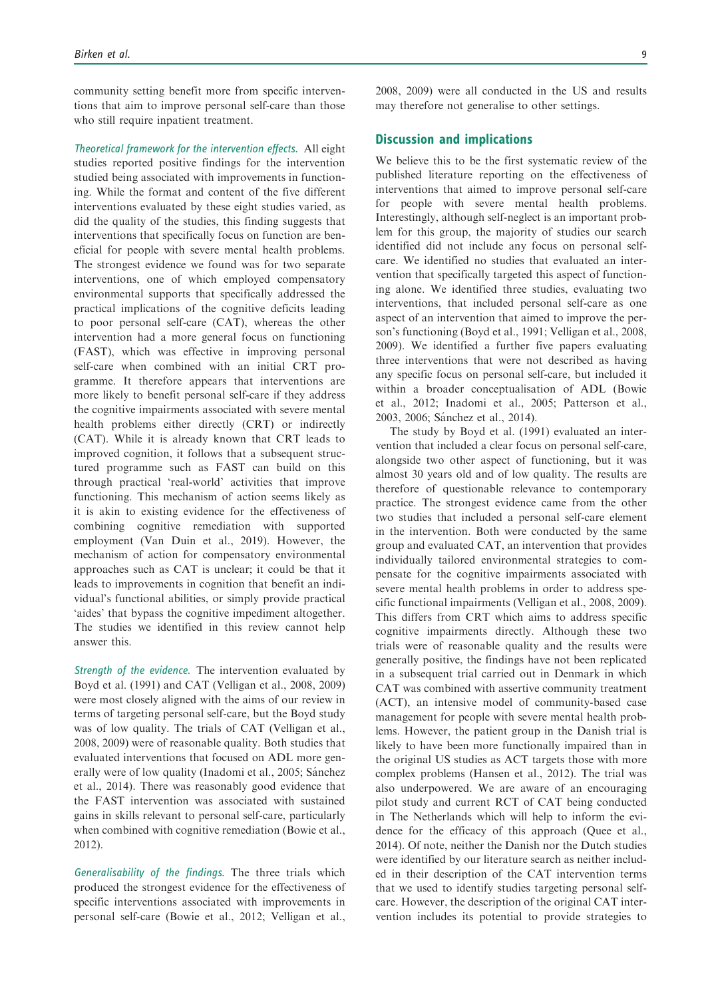community setting benefit more from specific interventions that aim to improve personal self-care than those who still require inpatient treatment.

Theoretical framework for the intervention effects. All eight studies reported positive findings for the intervention studied being associated with improvements in functioning. While the format and content of the five different interventions evaluated by these eight studies varied, as did the quality of the studies, this finding suggests that interventions that specifically focus on function are beneficial for people with severe mental health problems. The strongest evidence we found was for two separate interventions, one of which employed compensatory environmental supports that specifically addressed the practical implications of the cognitive deficits leading to poor personal self-care (CAT), whereas the other intervention had a more general focus on functioning (FAST), which was effective in improving personal self-care when combined with an initial CRT programme. It therefore appears that interventions are more likely to benefit personal self-care if they address the cognitive impairments associated with severe mental health problems either directly (CRT) or indirectly (CAT). While it is already known that CRT leads to improved cognition, it follows that a subsequent structured programme such as FAST can build on this through practical 'real-world' activities that improve functioning. This mechanism of action seems likely as it is akin to existing evidence for the effectiveness of combining cognitive remediation with supported employment (Van Duin et al., 2019). However, the mechanism of action for compensatory environmental approaches such as CAT is unclear; it could be that it leads to improvements in cognition that benefit an individual's functional abilities, or simply provide practical 'aides' that bypass the cognitive impediment altogether. The studies we identified in this review cannot help answer this.

Strength of the evidence. The intervention evaluated by Boyd et al. (1991) and CAT (Velligan et al., 2008, 2009) were most closely aligned with the aims of our review in terms of targeting personal self-care, but the Boyd study was of low quality. The trials of CAT (Velligan et al., 2008, 2009) were of reasonable quality. Both studies that evaluated interventions that focused on ADL more generally were of low quality (Inadomi et al., 2005; Sánchez et al., 2014). There was reasonably good evidence that the FAST intervention was associated with sustained gains in skills relevant to personal self-care, particularly when combined with cognitive remediation (Bowie et al., 2012).

Generalisability of the findings. The three trials which produced the strongest evidence for the effectiveness of specific interventions associated with improvements in personal self-care (Bowie et al., 2012; Velligan et al., 2008, 2009) were all conducted in the US and results may therefore not generalise to other settings.

# Discussion and implications

We believe this to be the first systematic review of the published literature reporting on the effectiveness of interventions that aimed to improve personal self-care for people with severe mental health problems. Interestingly, although self-neglect is an important problem for this group, the majority of studies our search identified did not include any focus on personal selfcare. We identified no studies that evaluated an intervention that specifically targeted this aspect of functioning alone. We identified three studies, evaluating two interventions, that included personal self-care as one aspect of an intervention that aimed to improve the person's functioning (Boyd et al., 1991; Velligan et al., 2008, 2009). We identified a further five papers evaluating three interventions that were not described as having any specific focus on personal self-care, but included it within a broader conceptualisation of ADL (Bowie et al., 2012; Inadomi et al., 2005; Patterson et al., 2003, 2006; Sánchez et al., 2014).

The study by Boyd et al. (1991) evaluated an intervention that included a clear focus on personal self-care, alongside two other aspect of functioning, but it was almost 30 years old and of low quality. The results are therefore of questionable relevance to contemporary practice. The strongest evidence came from the other two studies that included a personal self-care element in the intervention. Both were conducted by the same group and evaluated CAT, an intervention that provides individually tailored environmental strategies to compensate for the cognitive impairments associated with severe mental health problems in order to address specific functional impairments (Velligan et al., 2008, 2009). This differs from CRT which aims to address specific cognitive impairments directly. Although these two trials were of reasonable quality and the results were generally positive, the findings have not been replicated in a subsequent trial carried out in Denmark in which CAT was combined with assertive community treatment (ACT), an intensive model of community-based case management for people with severe mental health problems. However, the patient group in the Danish trial is likely to have been more functionally impaired than in the original US studies as ACT targets those with more complex problems (Hansen et al., 2012). The trial was also underpowered. We are aware of an encouraging pilot study and current RCT of CAT being conducted in The Netherlands which will help to inform the evidence for the efficacy of this approach (Quee et al., 2014). Of note, neither the Danish nor the Dutch studies were identified by our literature search as neither included in their description of the CAT intervention terms that we used to identify studies targeting personal selfcare. However, the description of the original CAT intervention includes its potential to provide strategies to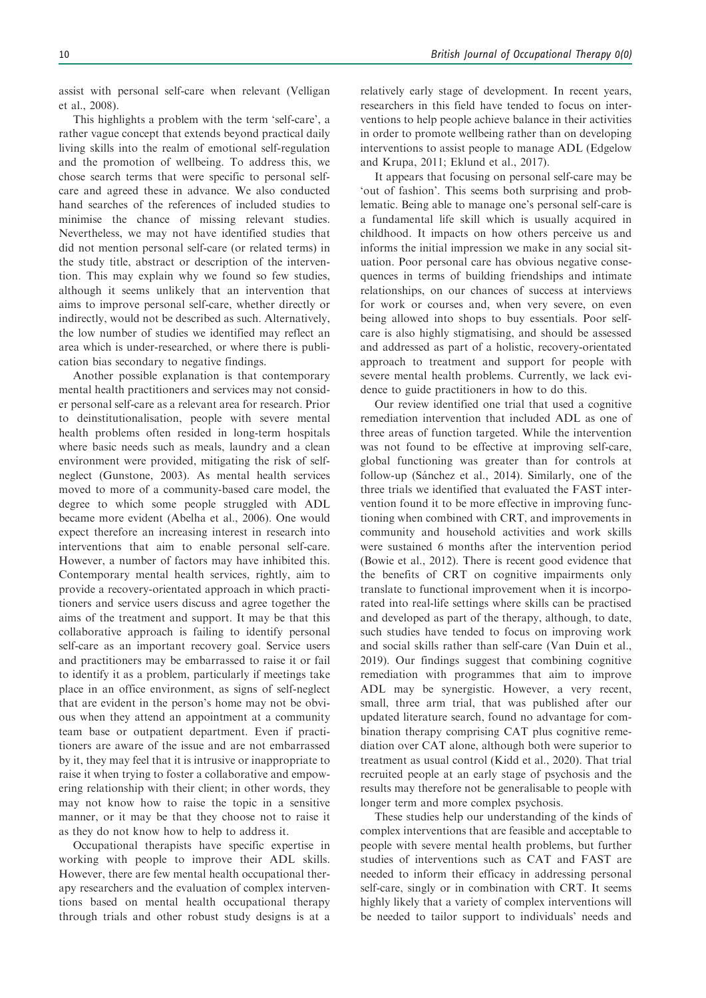assist with personal self-care when relevant (Velligan et al., 2008).

This highlights a problem with the term 'self-care', a rather vague concept that extends beyond practical daily living skills into the realm of emotional self-regulation and the promotion of wellbeing. To address this, we chose search terms that were specific to personal selfcare and agreed these in advance. We also conducted hand searches of the references of included studies to minimise the chance of missing relevant studies. Nevertheless, we may not have identified studies that did not mention personal self-care (or related terms) in the study title, abstract or description of the intervention. This may explain why we found so few studies, although it seems unlikely that an intervention that aims to improve personal self-care, whether directly or indirectly, would not be described as such. Alternatively, the low number of studies we identified may reflect an area which is under-researched, or where there is publication bias secondary to negative findings.

Another possible explanation is that contemporary mental health practitioners and services may not consider personal self-care as a relevant area for research. Prior to deinstitutionalisation, people with severe mental health problems often resided in long-term hospitals where basic needs such as meals, laundry and a clean environment were provided, mitigating the risk of selfneglect (Gunstone, 2003). As mental health services moved to more of a community-based care model, the degree to which some people struggled with ADL became more evident (Abelha et al., 2006). One would expect therefore an increasing interest in research into interventions that aim to enable personal self-care. However, a number of factors may have inhibited this. Contemporary mental health services, rightly, aim to provide a recovery-orientated approach in which practitioners and service users discuss and agree together the aims of the treatment and support. It may be that this collaborative approach is failing to identify personal self-care as an important recovery goal. Service users and practitioners may be embarrassed to raise it or fail to identify it as a problem, particularly if meetings take place in an office environment, as signs of self-neglect that are evident in the person's home may not be obvious when they attend an appointment at a community team base or outpatient department. Even if practitioners are aware of the issue and are not embarrassed by it, they may feel that it is intrusive or inappropriate to raise it when trying to foster a collaborative and empowering relationship with their client; in other words, they may not know how to raise the topic in a sensitive manner, or it may be that they choose not to raise it as they do not know how to help to address it.

Occupational therapists have specific expertise in working with people to improve their ADL skills. However, there are few mental health occupational therapy researchers and the evaluation of complex interventions based on mental health occupational therapy through trials and other robust study designs is at a relatively early stage of development. In recent years, researchers in this field have tended to focus on interventions to help people achieve balance in their activities in order to promote wellbeing rather than on developing interventions to assist people to manage ADL (Edgelow and Krupa, 2011; Eklund et al., 2017).

It appears that focusing on personal self-care may be 'out of fashion'. This seems both surprising and problematic. Being able to manage one's personal self-care is a fundamental life skill which is usually acquired in childhood. It impacts on how others perceive us and informs the initial impression we make in any social situation. Poor personal care has obvious negative consequences in terms of building friendships and intimate relationships, on our chances of success at interviews for work or courses and, when very severe, on even being allowed into shops to buy essentials. Poor selfcare is also highly stigmatising, and should be assessed and addressed as part of a holistic, recovery-orientated approach to treatment and support for people with severe mental health problems. Currently, we lack evidence to guide practitioners in how to do this.

Our review identified one trial that used a cognitive remediation intervention that included ADL as one of three areas of function targeted. While the intervention was not found to be effective at improving self-care, global functioning was greater than for controls at follow-up (Sánchez et al., 2014). Similarly, one of the three trials we identified that evaluated the FAST intervention found it to be more effective in improving functioning when combined with CRT, and improvements in community and household activities and work skills were sustained 6 months after the intervention period (Bowie et al., 2012). There is recent good evidence that the benefits of CRT on cognitive impairments only translate to functional improvement when it is incorporated into real-life settings where skills can be practised and developed as part of the therapy, although, to date, such studies have tended to focus on improving work and social skills rather than self-care (Van Duin et al., 2019). Our findings suggest that combining cognitive remediation with programmes that aim to improve ADL may be synergistic. However, a very recent, small, three arm trial, that was published after our updated literature search, found no advantage for combination therapy comprising CAT plus cognitive remediation over CAT alone, although both were superior to treatment as usual control (Kidd et al., 2020). That trial recruited people at an early stage of psychosis and the results may therefore not be generalisable to people with longer term and more complex psychosis.

These studies help our understanding of the kinds of complex interventions that are feasible and acceptable to people with severe mental health problems, but further studies of interventions such as CAT and FAST are needed to inform their efficacy in addressing personal self-care, singly or in combination with CRT. It seems highly likely that a variety of complex interventions will be needed to tailor support to individuals' needs and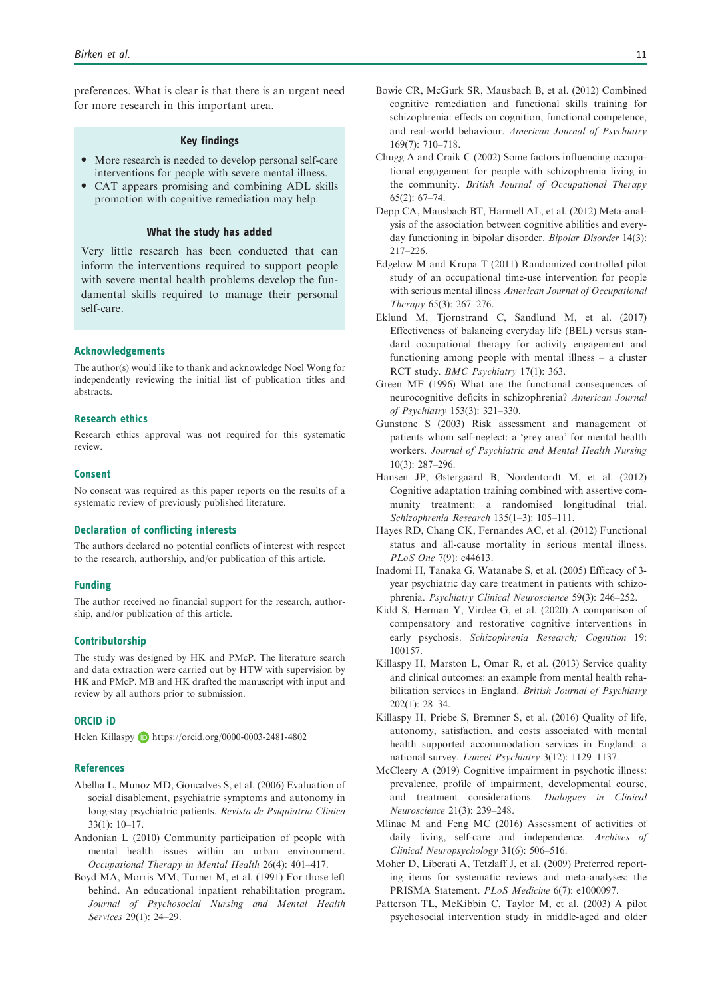preferences. What is clear is that there is an urgent need for more research in this important area.

#### Key findings

- More research is needed to develop personal self-care interventions for people with severe mental illness.
- CAT appears promising and combining ADL skills promotion with cognitive remediation may help.

#### What the study has added

Very little research has been conducted that can inform the interventions required to support people with severe mental health problems develop the fundamental skills required to manage their personal self-care.

#### Acknowledgements

The author(s) would like to thank and acknowledge Noel Wong for independently reviewing the initial list of publication titles and abstracts.

#### Research ethics

Research ethics approval was not required for this systematic review.

#### Consent

No consent was required as this paper reports on the results of a systematic review of previously published literature.

#### Declaration of conflicting interests

The authors declared no potential conflicts of interest with respect to the research, authorship, and/or publication of this article.

#### Funding

The author received no financial support for the research, authorship, and/or publication of this article.

## Contributorship

The study was designed by HK and PMcP. The literature search and data extraction were carried out by HTW with supervision by HK and PMcP. MB and HK drafted the manuscript with input and review by all authors prior to submission.

## ORCID iD

Helen Killaspy <https://orcid.org/0000-0003-2481-4802>

#### References

- Abelha L, Munoz MD, Goncalves S, et al. (2006) Evaluation of social disablement, psychiatric symptoms and autonomy in long-stay psychiatric patients. Revista de Psiquiatria Clinica 33(1): 10–17.
- Andonian L (2010) Community participation of people with mental health issues within an urban environment. Occupational Therapy in Mental Health 26(4): 401–417.
- Boyd MA, Morris MM, Turner M, et al. (1991) For those left behind. An educational inpatient rehabilitation program. Journal of Psychosocial Nursing and Mental Health Services 29(1): 24–29.
- Bowie CR, McGurk SR, Mausbach B, et al. (2012) Combined cognitive remediation and functional skills training for schizophrenia: effects on cognition, functional competence, and real-world behaviour. American Journal of Psychiatry 169(7): 710–718.
- Chugg A and Craik C (2002) Some factors influencing occupational engagement for people with schizophrenia living in the community. British Journal of Occupational Therapy  $65(2): 67-74$
- Depp CA, Mausbach BT, Harmell AL, et al. (2012) Meta-analysis of the association between cognitive abilities and everyday functioning in bipolar disorder. Bipolar Disorder 14(3): 217–226.
- Edgelow M and Krupa T (2011) Randomized controlled pilot study of an occupational time-use intervention for people with serious mental illness American Journal of Occupational Therapy 65(3): 267–276.
- Eklund M, Tjornstrand C, Sandlund M, et al. (2017) Effectiveness of balancing everyday life (BEL) versus standard occupational therapy for activity engagement and functioning among people with mental illness – a cluster RCT study. BMC Psychiatry 17(1): 363.
- Green MF (1996) What are the functional consequences of neurocognitive deficits in schizophrenia? American Journal of Psychiatry 153(3): 321–330.
- Gunstone S (2003) Risk assessment and management of patients whom self-neglect: a 'grey area' for mental health workers. Journal of Psychiatric and Mental Health Nursing 10(3): 287–296.
- Hansen JP, Østergaard B, Nordentordt M, et al. (2012) Cognitive adaptation training combined with assertive community treatment: a randomised longitudinal trial. Schizophrenia Research 135(1–3): 105–111.
- Hayes RD, Chang CK, Fernandes AC, et al. (2012) Functional status and all-cause mortality in serious mental illness. PLoS One 7(9): e44613.
- Inadomi H, Tanaka G, Watanabe S, et al. (2005) Efficacy of 3 year psychiatric day care treatment in patients with schizophrenia. Psychiatry Clinical Neuroscience 59(3): 246–252.
- Kidd S, Herman Y, Virdee G, et al. (2020) A comparison of compensatory and restorative cognitive interventions in early psychosis. Schizophrenia Research; Cognition 19: 100157.
- Killaspy H, Marston L, Omar R, et al. (2013) Service quality and clinical outcomes: an example from mental health rehabilitation services in England. British Journal of Psychiatry 202(1): 28–34.
- Killaspy H, Priebe S, Bremner S, et al. (2016) Quality of life, autonomy, satisfaction, and costs associated with mental health supported accommodation services in England: a national survey. Lancet Psychiatry 3(12): 1129–1137.
- McCleery A (2019) Cognitive impairment in psychotic illness: prevalence, profile of impairment, developmental course, and treatment considerations. Dialogues in Clinical Neuroscience 21(3): 239–248.
- Mlinac M and Feng MC (2016) Assessment of activities of daily living, self-care and independence. Archives of Clinical Neuropsychology 31(6): 506–516.
- Moher D, Liberati A, Tetzlaff J, et al. (2009) Preferred reporting items for systematic reviews and meta-analyses: the PRISMA Statement. PLoS Medicine 6(7): e1000097.
- Patterson TL, McKibbin C, Taylor M, et al. (2003) A pilot psychosocial intervention study in middle-aged and older